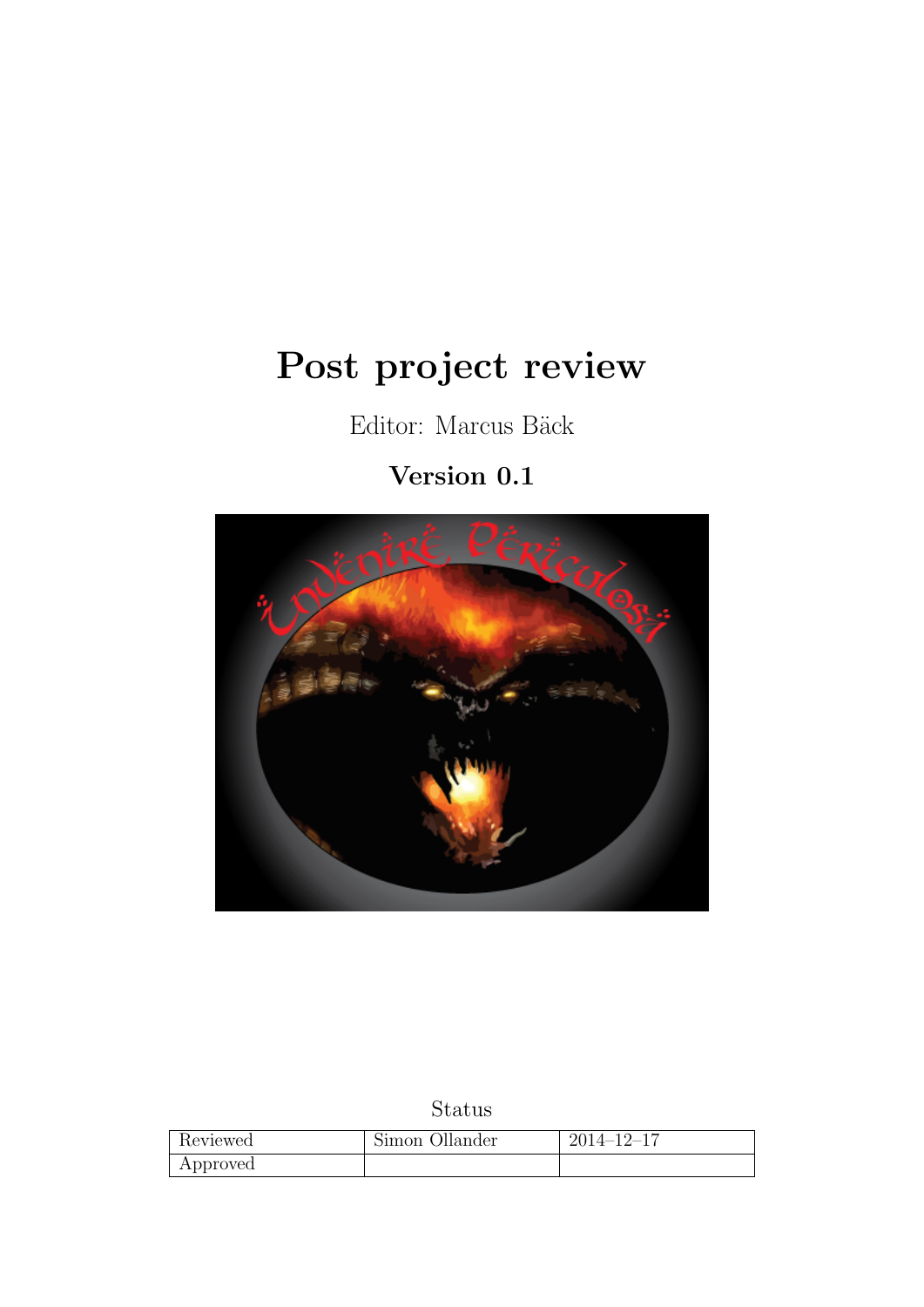# <span id="page-0-0"></span>Post project review

Editor: Marcus Bäck

# Version 0.1



# Status

| Reviewed | Simon Ollander | $2014 - 12 - 17$ |
|----------|----------------|------------------|
| Approved |                |                  |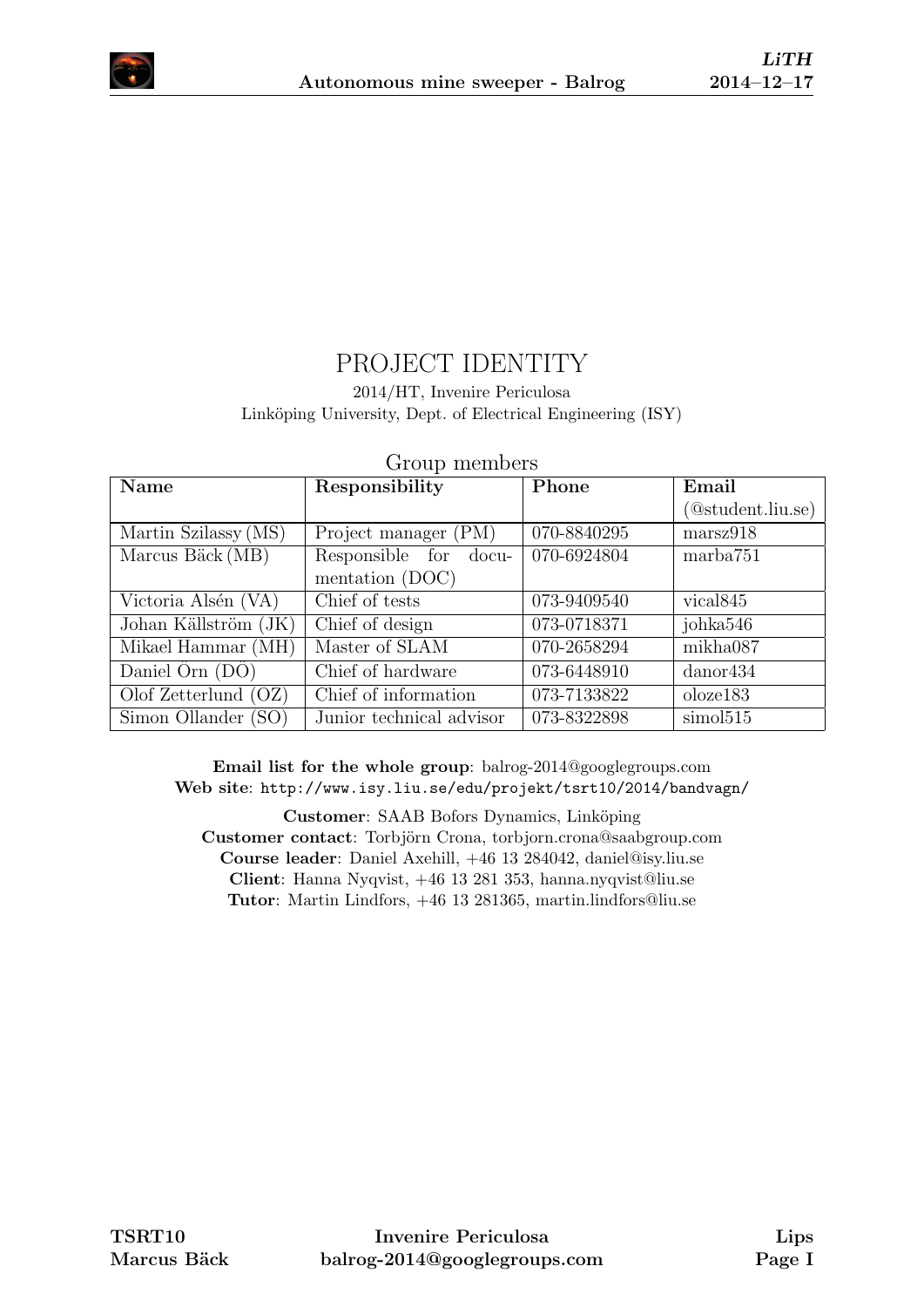

# PROJECT IDENTITY

#### 2014/HT, Invenire Periculosa Linköping University, Dept. of Electrical Engineering (ISY)

| $\sim$ 20 $\mu$ 20 $\mu$ 20 $\mu$ 20 $\mu$ 20 $\mu$ |                          |             |                      |  |
|-----------------------------------------------------|--------------------------|-------------|----------------------|--|
| Name                                                | Responsibility           | Phone       | Email                |  |
|                                                     |                          |             | (@student.liu.se)    |  |
| Martin Szilassy (MS)                                | Project manager (PM)     | 070-8840295 | marsz918             |  |
| Marcus Bäck (MB)                                    | Responsible for docu-    | 070-6924804 | marba751             |  |
|                                                     | mentation (DOC)          |             |                      |  |
| Victoria Alsén (VA)                                 | Chief of tests           | 073-9409540 | vical <sub>845</sub> |  |
| Johan Källström (JK)                                | Chief of design          | 073-0718371 | johka546             |  |
| Mikael Hammar (MH)                                  | Master of SLAM           | 070-2658294 | mikha087             |  |
| Daniel $\overline{O}$ rn $(D\overline{O})$          | Chief of hardware        | 073-6448910 | $d$ anor $434$       |  |
| Olof Zetterlund $(OZ)$                              | Chief of information     | 073-7133822 | olozel 83            |  |
| Simon Ollander (SO)                                 | Junior technical advisor | 073-8322898 | simol515             |  |

#### Group members

Email list for the whole group: balrog-2014@googlegroups.com Web site: <http://www.isy.liu.se/edu/projekt/tsrt10/2014/bandvagn/>

Customer: SAAB Bofors Dynamics, Linköping Customer contact: Torbjörn Crona, torbjorn.crona@saabgroup.com Course leader: Daniel Axehill, +46 13 284042, daniel@isy.liu.se Client: Hanna Nyqvist, +46 13 281 353, hanna.nyqvist@liu.se Tutor: Martin Lindfors, +46 13 281365, martin.lindfors@liu.se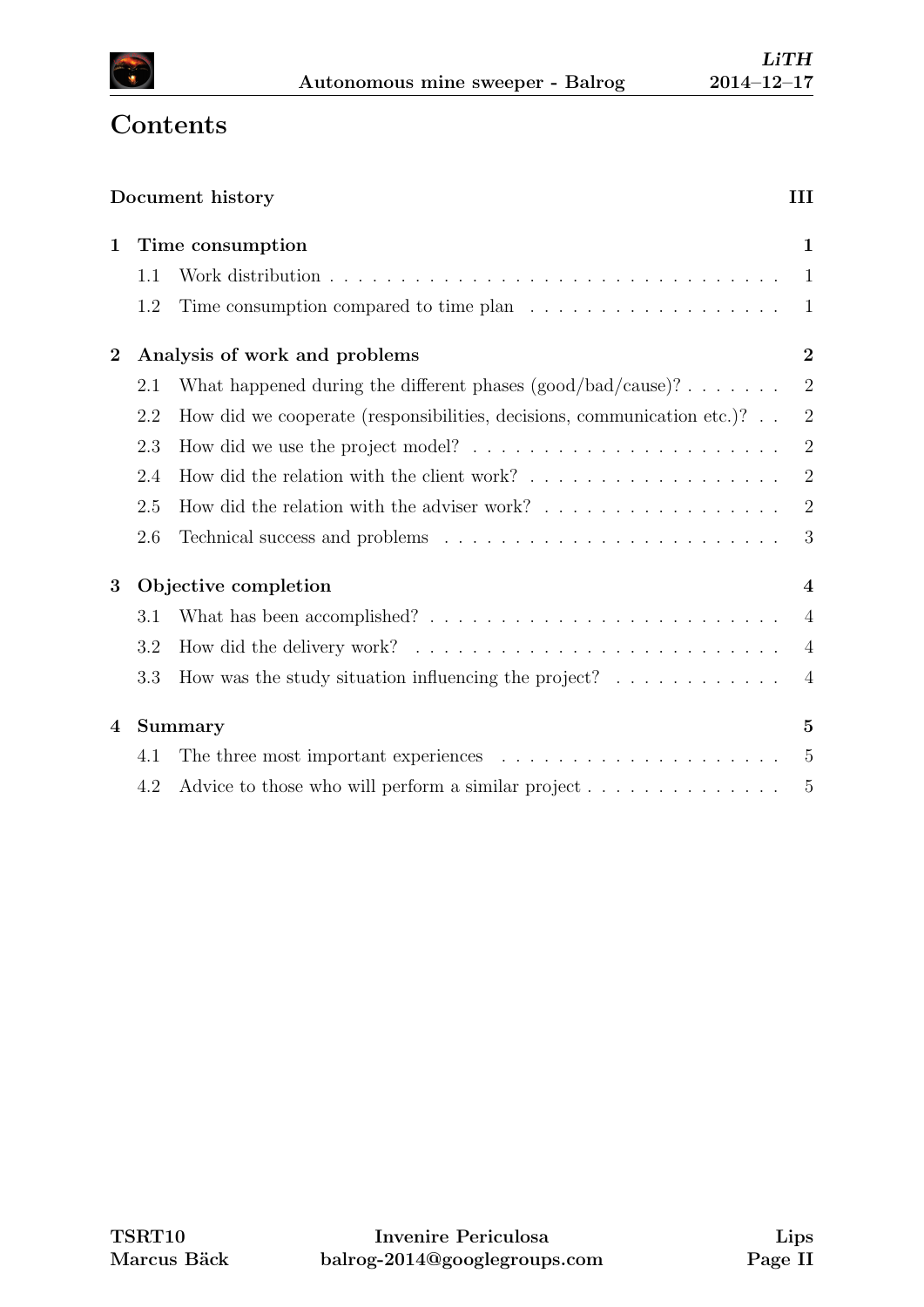

# **Contents**

|             |     | Document history                                                                        | III            |
|-------------|-----|-----------------------------------------------------------------------------------------|----------------|
| $\mathbf 1$ |     | Time consumption                                                                        |                |
|             | 1.1 |                                                                                         | 1              |
|             | 1.2 | Time consumption compared to time plan $\ldots \ldots \ldots \ldots \ldots \ldots$      | -1             |
| $\bf{2}$    |     | Analysis of work and problems                                                           | $\overline{2}$ |
|             | 2.1 | What happened during the different phases $(good/bad/cause)$ ?                          | 2              |
|             | 2.2 | How did we cooperate (responsibilities, decisions, communication etc.)?                 | $\overline{2}$ |
|             | 2.3 | How did we use the project model? $\dots \dots \dots \dots \dots \dots \dots \dots$     | $\overline{2}$ |
|             | 2.4 |                                                                                         | $\overline{2}$ |
|             | 2.5 |                                                                                         | 2              |
|             | 2.6 |                                                                                         | - 3            |
| 3           |     | Objective completion                                                                    | $\overline{4}$ |
|             | 3.1 |                                                                                         | $\overline{4}$ |
|             | 3.2 |                                                                                         | $\overline{4}$ |
|             | 3.3 | How was the study situation influencing the project? $\ldots \ldots \ldots \ldots$      | $\overline{4}$ |
| 4           |     | <b>Summary</b>                                                                          | 5              |
|             | 4.1 | The three most important experiences $\ldots \ldots \ldots \ldots \ldots \ldots \ldots$ | $\overline{5}$ |
|             | 4.2 | Advice to those who will perform a similar project $\dots \dots \dots \dots \dots$      | $\overline{5}$ |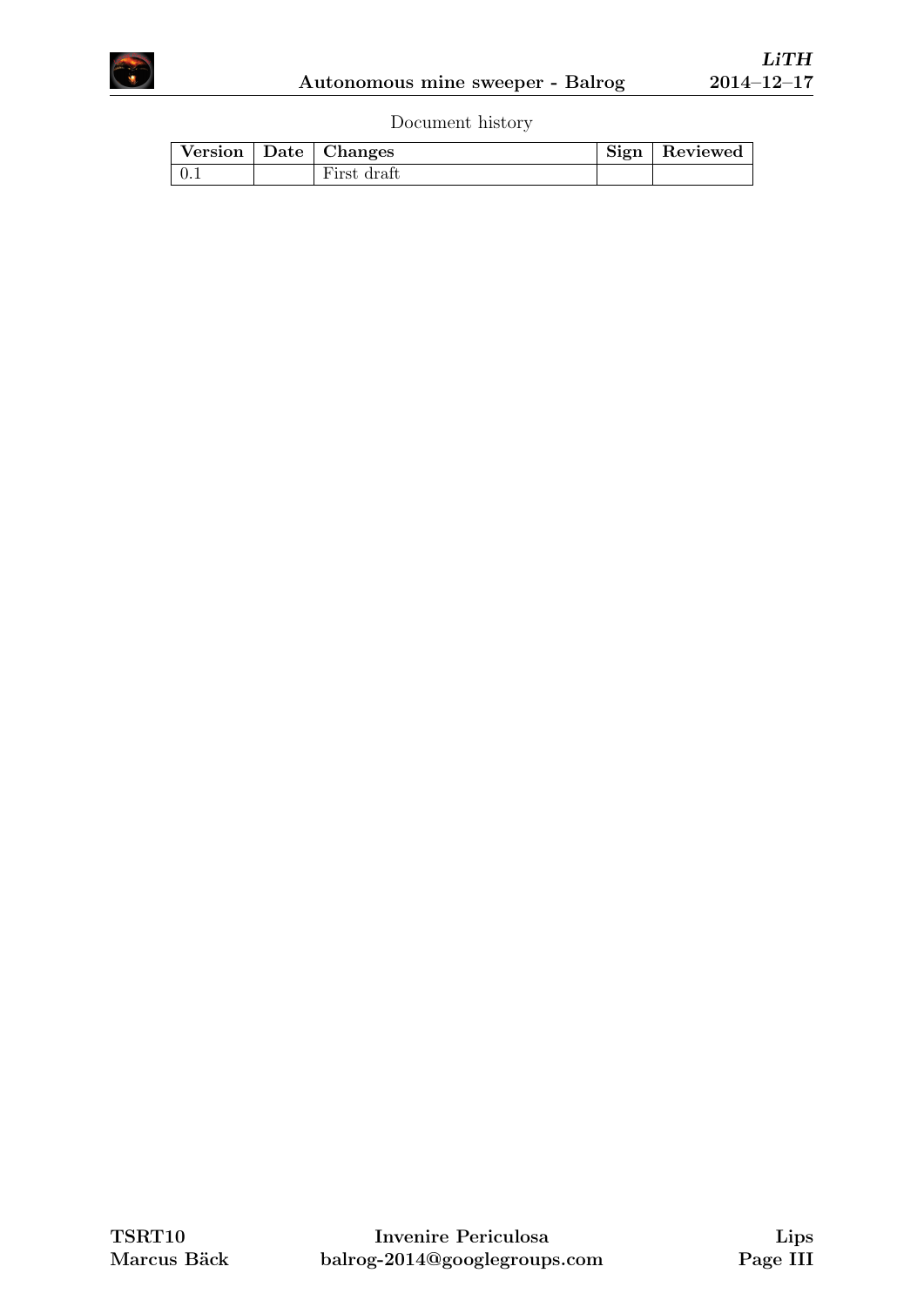

Document history

|  | Version   Date   Changes | Sign   Reviewed |
|--|--------------------------|-----------------|
|  | First draft              |                 |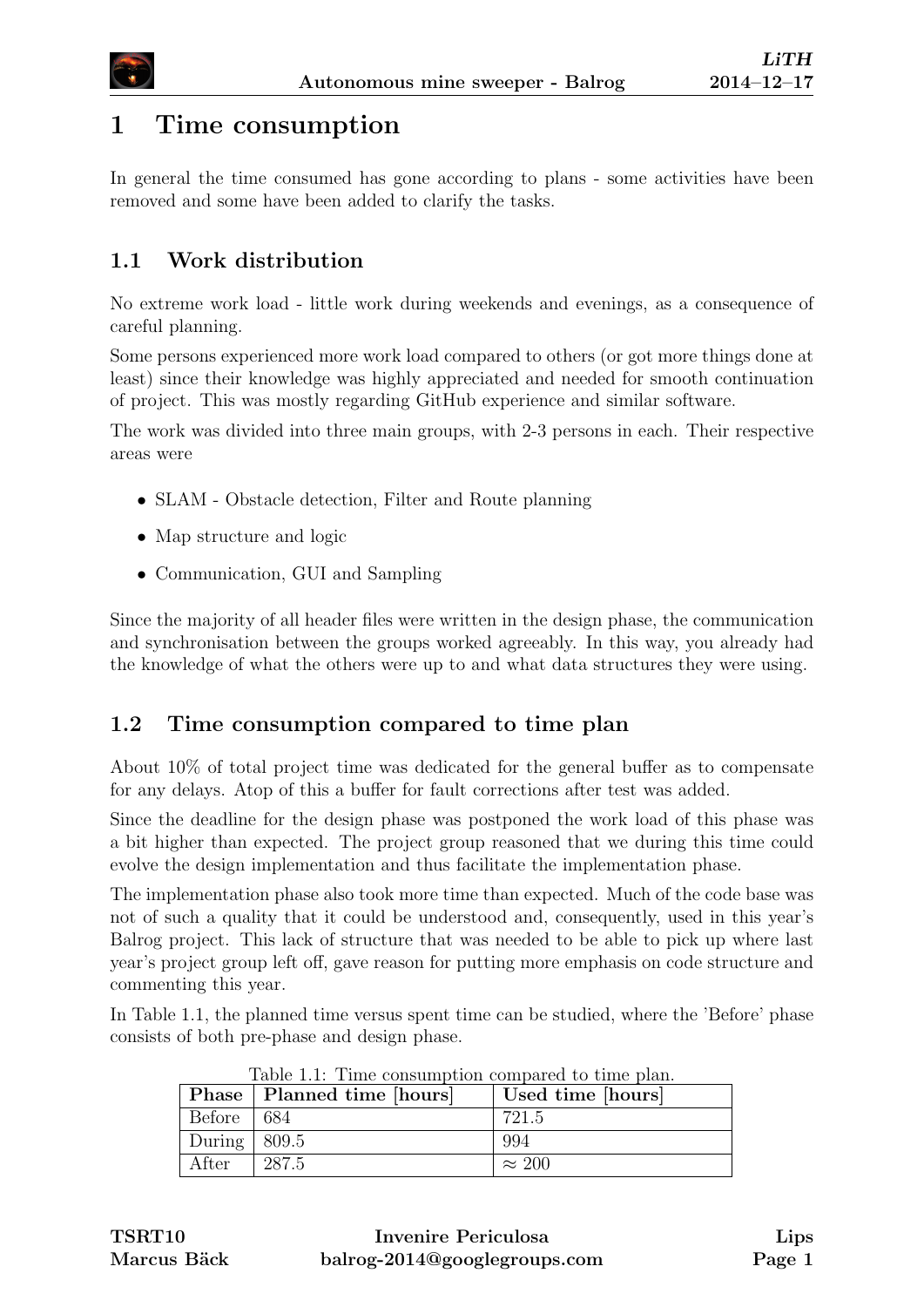

# <span id="page-4-0"></span>1 Time consumption

In general the time consumed has gone according to plans - some activities have been removed and some have been added to clarify the tasks.

#### <span id="page-4-1"></span>1.1 Work distribution

No extreme work load - little work during weekends and evenings, as a consequence of careful planning.

Some persons experienced more work load compared to others (or got more things done at least) since their knowledge was highly appreciated and needed for smooth continuation of project. This was mostly regarding GitHub experience and similar software.

The work was divided into three main groups, with 2-3 persons in each. Their respective areas were

- SLAM Obstacle detection, Filter and Route planning
- Map structure and logic
- Communication, GUI and Sampling

Since the majority of all header files were written in the design phase, the communication and synchronisation between the groups worked agreeably. In this way, you already had the knowledge of what the others were up to and what data structures they were using.

#### <span id="page-4-2"></span>1.2 Time consumption compared to time plan

About 10% of total project time was dedicated for the general buffer as to compensate for any delays. Atop of this a buffer for fault corrections after test was added.

Since the deadline for the design phase was postponed the work load of this phase was a bit higher than expected. The project group reasoned that we during this time could evolve the design implementation and thus facilitate the implementation phase.

The implementation phase also took more time than expected. Much of the code base was not of such a quality that it could be understood and, consequently, used in this year's Balrog project. This lack of structure that was needed to be able to pick up where last year's project group left off, gave reason for putting more emphasis on code structure and commenting this year.

In Table [1.1,](#page-4-4) the planned time versus spent time can be studied, where the 'Before' phase consists of both pre-phase and design phase.

<span id="page-4-3"></span>

| Table 1.1: Time consumption compared to time plan. |                              |                   |  |
|----------------------------------------------------|------------------------------|-------------------|--|
|                                                    | Phase   Planned time [hours] | Used time [hours] |  |
| Before $  684$                                     |                              | 721.5             |  |
| During   $809.5$                                   |                              | -994              |  |
| After                                              | 287.5                        | $\approx 200$     |  |

<span id="page-4-4"></span>Table 1.1: Time consumption compared to time plan.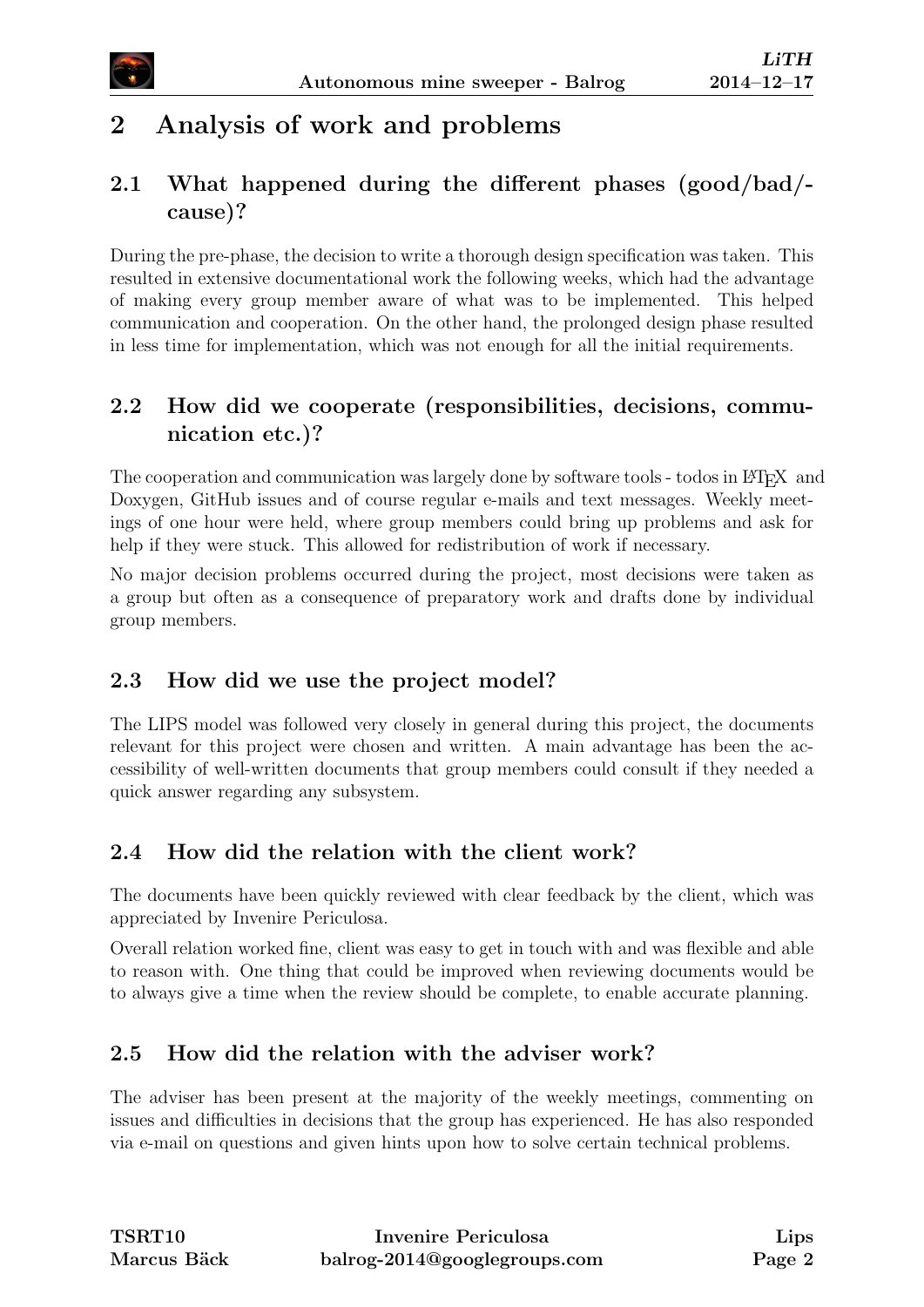# 2 Analysis of work and problems

## <span id="page-5-0"></span>2.1 What happened during the different phases (good/bad/ cause)?

During the pre-phase, the decision to write a thorough design specification was taken. This resulted in extensive documentational work the following weeks, which had the advantage of making every group member aware of what was to be implemented. This helped communication and cooperation. On the other hand, the prolonged design phase resulted in less time for implementation, which was not enough for all the initial requirements.

### <span id="page-5-1"></span>2.2 How did we cooperate (responsibilities, decisions, communication etc.)?

The cooperation and communication was largely done by software tools - todos in LATEX and Doxygen, GitHub issues and of course regular e-mails and text messages. Weekly meetings of one hour were held, where group members could bring up problems and ask for help if they were stuck. This allowed for redistribution of work if necessary.

No major decision problems occurred during the project, most decisions were taken as a group but often as a consequence of preparatory work and drafts done by individual group members.

#### <span id="page-5-2"></span>2.3 How did we use the project model?

The LIPS model was followed very closely in general during this project, the documents relevant for this project were chosen and written. A main advantage has been the accessibility of well-written documents that group members could consult if they needed a quick answer regarding any subsystem.

## <span id="page-5-3"></span>2.4 How did the relation with the client work?

The documents have been quickly reviewed with clear feedback by the client, which was appreciated by Invenire Periculosa.

Overall relation worked fine, client was easy to get in touch with and was flexible and able to reason with. One thing that could be improved when reviewing documents would be to always give a time when the review should be complete, to enable accurate planning.

## <span id="page-5-4"></span>2.5 How did the relation with the adviser work?

<span id="page-5-5"></span>The adviser has been present at the majority of the weekly meetings, commenting on issues and difficulties in decisions that the group has experienced. He has also responded via e-mail on questions and given hints upon how to solve certain technical problems.

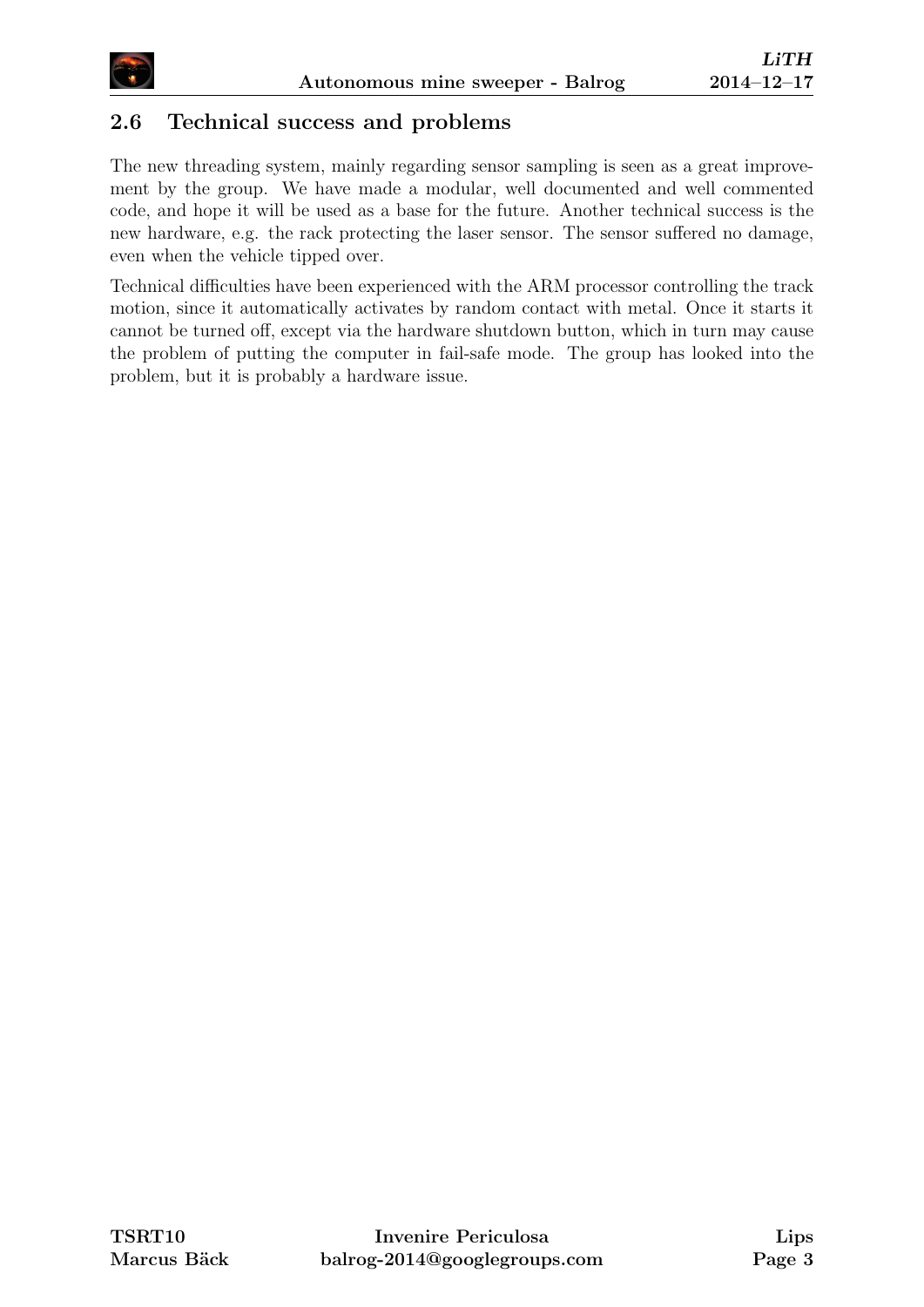

#### 2.6 Technical success and problems

The new threading system, mainly regarding sensor sampling is seen as a great improvement by the group. We have made a modular, well documented and well commented code, and hope it will be used as a base for the future. Another technical success is the new hardware, e.g. the rack protecting the laser sensor. The sensor suffered no damage, even when the vehicle tipped over.

<span id="page-6-0"></span>Technical difficulties have been experienced with the ARM processor controlling the track motion, since it automatically activates by random contact with metal. Once it starts it cannot be turned off, except via the hardware shutdown button, which in turn may cause the problem of putting the computer in fail-safe mode. The group has looked into the problem, but it is probably a hardware issue.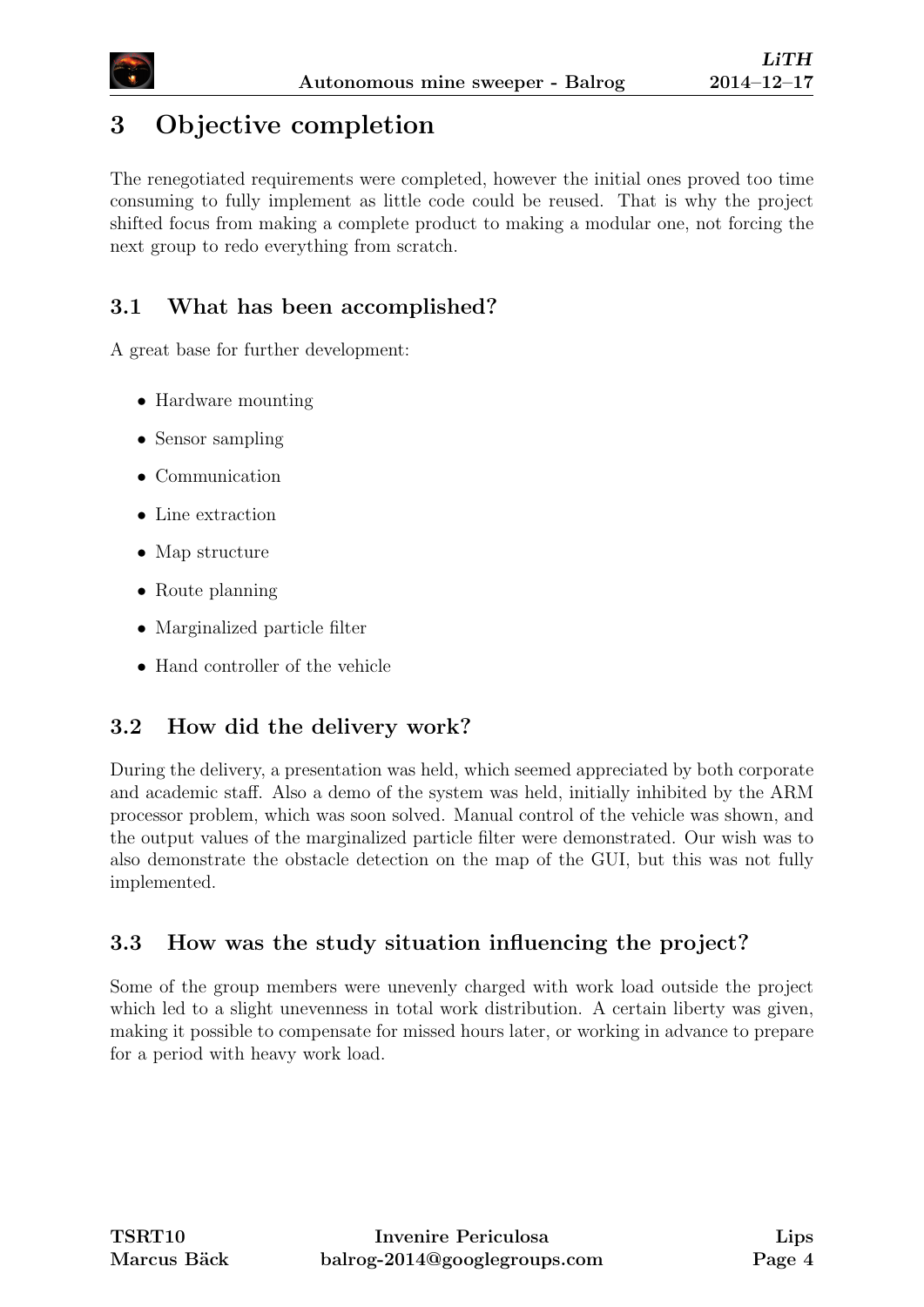

# 3 Objective completion

The renegotiated requirements were completed, however the initial ones proved too time consuming to fully implement as little code could be reused. That is why the project shifted focus from making a complete product to making a modular one, not forcing the next group to redo everything from scratch.

# <span id="page-7-0"></span>3.1 What has been accomplished?

A great base for further development:

- Hardware mounting
- Sensor sampling
- Communication
- Line extraction
- Map structure
- Route planning
- Marginalized particle filter
- Hand controller of the vehicle

#### <span id="page-7-1"></span>3.2 How did the delivery work?

During the delivery, a presentation was held, which seemed appreciated by both corporate and academic staff. Also a demo of the system was held, initially inhibited by the ARM processor problem, which was soon solved. Manual control of the vehicle was shown, and the output values of the marginalized particle filter were demonstrated. Our wish was to also demonstrate the obstacle detection on the map of the GUI, but this was not fully implemented.

#### <span id="page-7-2"></span>3.3 How was the study situation influencing the project?

<span id="page-7-3"></span>Some of the group members were unevenly charged with work load outside the project which led to a slight unevenness in total work distribution. A certain liberty was given, making it possible to compensate for missed hours later, or working in advance to prepare for a period with heavy work load.